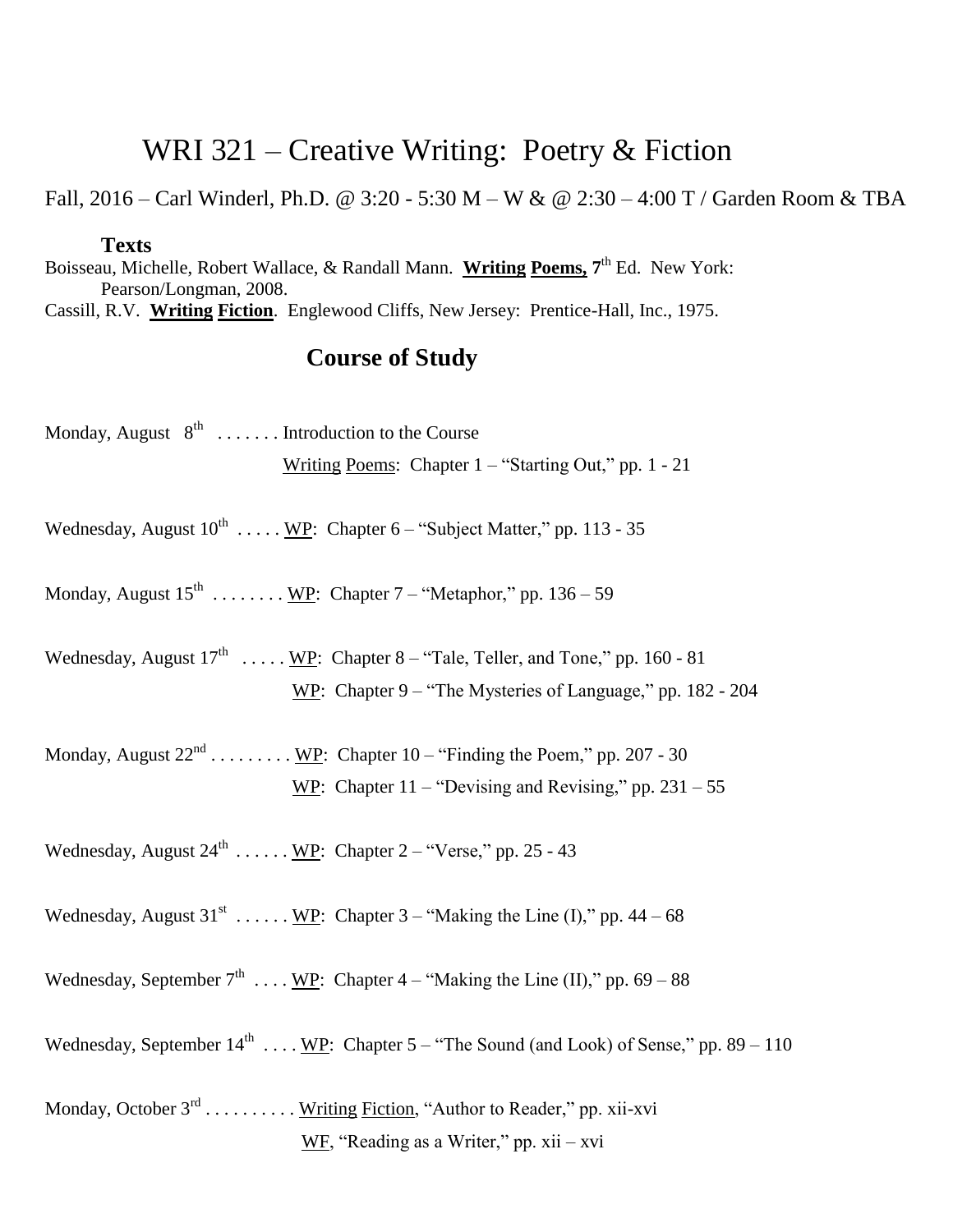## WRI 321 – Creative Writing: Poetry & Fiction

Fall, 2016 – Carl Winderl, Ph.D. @ 3:20 - 5:30 M – W & @ 2:30 – 4:00 T / Garden Room & TBA

## **Texts**

Boisseau, Michelle, Robert Wallace, & Randall Mann. Writing Poems, 7<sup>th</sup> Ed. New York: Pearson/Longman, 2008. Cassill, R.V. **Writing Fiction**. Englewood Cliffs, New Jersey: Prentice-Hall, Inc., 1975.

## **Course of Study**

| Monday, August $8^{th}$ Introduction to the Course                                                  |
|-----------------------------------------------------------------------------------------------------|
| Writing Poems: Chapter 1 – "Starting Out," pp. 1 - 21                                               |
|                                                                                                     |
| Wednesday, August $10^{th}$ WP: Chapter 6 – "Subject Matter," pp. 113 - 35                          |
|                                                                                                     |
| Monday, August $15^{th}$ WP: Chapter 7 – "Metaphor," pp. 136 – 59                                   |
|                                                                                                     |
| Wednesday, August $17^{\text{th}}$ WP: Chapter 8 – "Tale, Teller, and Tone," pp. 160 - 81           |
| WP: Chapter $9 -$ "The Mysteries of Language," pp. 182 - 204                                        |
|                                                                                                     |
| Monday, August $22^{nd}$ WP: Chapter 10 – "Finding the Poem," pp. 207 - 30                          |
| WP: Chapter $11 -$ "Devising and Revising," pp. $231 - 55$                                          |
|                                                                                                     |
| Wednesday, August $24^{\text{th}}$ WP: Chapter 2 – "Verse," pp. 25 - 43                             |
|                                                                                                     |
| Wednesday, August $31^{st}$ <u>WP</u> : Chapter $3 -$ "Making the Line (I)," pp. 44 – 68            |
| Wednesday, September $7^{th}$ WP: Chapter 4 – "Making the Line (II)," pp. 69 – 88                   |
|                                                                                                     |
| Wednesday, September $14^{\text{th}}$ WP: Chapter 5 – "The Sound (and Look) of Sense," pp. 89 – 110 |
|                                                                                                     |
| Monday, October 3 <sup>rd</sup> <u>Writing Fiction</u> , "Author to Reader," pp. xii-xvi            |
| WF, "Reading as a Writer," pp. $xii - xvi$                                                          |